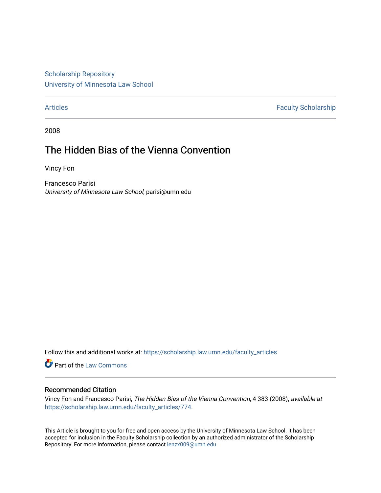[Scholarship Repository](https://scholarship.law.umn.edu/?utm_source=scholarship.law.umn.edu%2Ffaculty_articles%2F774&utm_medium=PDF&utm_campaign=PDFCoverPages) [University of Minnesota Law School](https://scholarship.law.umn.edu/?utm_source=scholarship.law.umn.edu%2Ffaculty_articles%2F774&utm_medium=PDF&utm_campaign=PDFCoverPages)

[Articles](https://scholarship.law.umn.edu/faculty_articles?utm_source=scholarship.law.umn.edu%2Ffaculty_articles%2F774&utm_medium=PDF&utm_campaign=PDFCoverPages) **Faculty Scholarship** 

2008

# The Hidden Bias of the Vienna Convention

Vincy Fon

Francesco Parisi University of Minnesota Law School, parisi@umn.edu

Follow this and additional works at: [https://scholarship.law.umn.edu/faculty\\_articles](https://scholarship.law.umn.edu/faculty_articles?utm_source=scholarship.law.umn.edu%2Ffaculty_articles%2F774&utm_medium=PDF&utm_campaign=PDFCoverPages)

Part of the [Law Commons](https://network.bepress.com/hgg/discipline/578?utm_source=scholarship.law.umn.edu%2Ffaculty_articles%2F774&utm_medium=PDF&utm_campaign=PDFCoverPages)

## Recommended Citation

Vincy Fon and Francesco Parisi, The Hidden Bias of the Vienna Convention, 4 383 (2008), available at [https://scholarship.law.umn.edu/faculty\\_articles/774](https://scholarship.law.umn.edu/faculty_articles/774?utm_source=scholarship.law.umn.edu%2Ffaculty_articles%2F774&utm_medium=PDF&utm_campaign=PDFCoverPages).

This Article is brought to you for free and open access by the University of Minnesota Law School. It has been accepted for inclusion in the Faculty Scholarship collection by an authorized administrator of the Scholarship Repository. For more information, please contact [lenzx009@umn.edu.](mailto:lenzx009@umn.edu)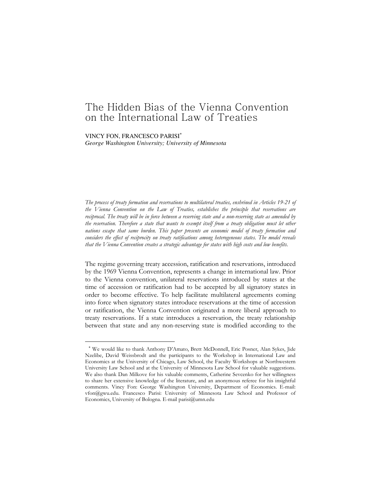## The Hidden Bias of the Vienna Convention on the International Law of Treaties

VINCY FON, FRANCESCO PARISI<sup>∗</sup>

 $\overline{a}$ 

*George Washington University; University of Minnesota* 

The process of treaty formation and reservations to multilateral treaties, enshrined in Articles 19-21 of the Vienna Convention on the Law of Treaties, establishes the principle that reservations are reciprocal. The treaty will be in force between a reserving state and a non-reserving state as amended by the reservation. Therefore a state that wants to exempt itself from a treaty obligation must let other nations escape that same burden. This paper presents an economic model of treaty formation and considers the effect of reciprocity on treaty ratifications among heterogeneous states. The model reveals that the Vienna Convention creates a strategic advantage for states with high costs and low benefits.

The regime governing treaty accession, ratification and reservations, introduced by the 1969 Vienna Convention, represents a change in international law. Prior to the Vienna convention, unilateral reservations introduced by states at the time of accession or ratification had to be accepted by all signatory states in order to become effective. To help facilitate multilateral agreements coming into force when signatory states introduce reservations at the time of accession or ratification, the Vienna Convention originated a more liberal approach to treaty reservations. If a state introduces a reservation, the treaty relationship between that state and any non-reserving state is modified according to the

<sup>∗</sup> We would like to thank Anthony D'Amato, Brett McDonnell, Eric Posner, Alan Sykes, Jide Nzelibe, David Weissbrodt and the participants to the Workshop in International Law and Economics at the University of Chicago, Law School, the Faculty Workshops at Northwestern University Law School and at the University of Minnesota Law School for valuable suggestions. We also thank Dan Milkove for his valuable comments, Catherine Sevcenko for her willingness to share her extensive knowledge of the literature, and an anonymous referee for his insightful comments. Vincy Fon: George Washington University, Department of Economics. E-mail: vfon@gwu.edu. Francesco Parisi: University of Minnesota Law School and Professor of Economics, University of Bologna. E-mail parisi@umn.edu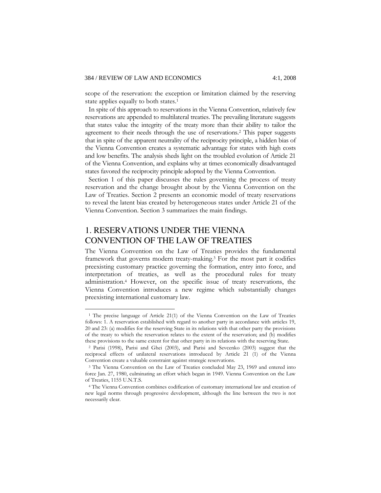scope of the reservation: the exception or limitation claimed by the reserving state applies equally to both states.<sup>1</sup>

In spite of this approach to reservations in the Vienna Convention, relatively few reservations are appended to multilateral treaties. The prevailing literature suggests that states value the integrity of the treaty more than their ability to tailor the agreement to their needs through the use of reservations.2 This paper suggests that in spite of the apparent neutrality of the reciprocity principle, a hidden bias of the Vienna Convention creates a systematic advantage for states with high costs and low benefits. The analysis sheds light on the troubled evolution of Article 21 of the Vienna Convention, and explains why at times economically disadvantaged states favored the reciprocity principle adopted by the Vienna Convention.

Section 1 of this paper discusses the rules governing the process of treaty reservation and the change brought about by the Vienna Convention on the Law of Treaties. Section 2 presents an economic model of treaty reservations to reveal the latent bias created by heterogeneous states under Article 21 of the Vienna Convention. Section 3 summarizes the main findings.

## 1. RESERVATIONS UNDER THE VIENNA CONVENTION OF THE LAW OF TREATIES

 $\overline{a}$ 

The Vienna Convention on the Law of Treaties provides the fundamental framework that governs modern treaty-making.3 For the most part it codifies preexisting customary practice governing the formation, entry into force, and interpretation of treaties, as well as the procedural rules for treaty administration.4 However, on the specific issue of treaty reservations, the Vienna Convention introduces a new regime which substantially changes preexisting international customary law.

<sup>&</sup>lt;sup>1</sup> The precise language of Article 21(1) of the Vienna Convention on the Law of Treaties follows: 1. A reservation established with regard to another party in accordance with articles 19, 20 and 23: (a) modifies for the reserving State in its relations with that other party the provisions of the treaty to which the reservation relates to the extent of the reservation; and (b) modifies these provisions to the same extent for that other party in its relations with the reserving State.

<sup>2</sup> Parisi (1998), Parisi and Ghei (2003), and Parisi and Sevcenko (2003) suggest that the reciprocal effects of unilateral reservations introduced by Article 21 (1) of the Vienna Convention create a valuable constraint against strategic reservations.

<sup>&</sup>lt;sup>3</sup> The Vienna Convention on the Law of Treaties concluded May 23, 1969 and entered into force Jan. 27, 1980, culminating an effort which began in 1949. Vienna Convention on the Law of Treaties, 1155 U.N.T.S.

<sup>4</sup> The Vienna Convention combines codification of customary international law and creation of new legal norms through progressive development, although the line between the two is not necessarily clear.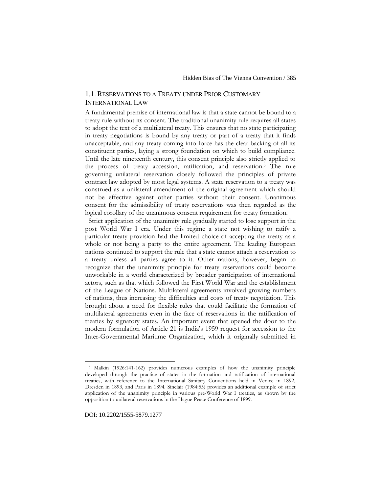## 1.1. RESERVATIONS TO A TREATY UNDER PRIOR CUSTOMARY INTERNATIONAL LAW

A fundamental premise of international law is that a state cannot be bound to a treaty rule without its consent. The traditional unanimity rule requires all states to adopt the text of a multilateral treaty. This ensures that no state participating in treaty negotiations is bound by any treaty or part of a treaty that it finds unacceptable, and any treaty coming into force has the clear backing of all its constituent parties, laying a strong foundation on which to build compliance. Until the late nineteenth century, this consent principle also strictly applied to the process of treaty accession, ratification, and reservation.5 The rule governing unilateral reservation closely followed the principles of private contract law adopted by most legal systems. A state reservation to a treaty was construed as a unilateral amendment of the original agreement which should not be effective against other parties without their consent. Unanimous consent for the admissibility of treaty reservations was then regarded as the logical corollary of the unanimous consent requirement for treaty formation.

Strict application of the unanimity rule gradually started to lose support in the post World War I era. Under this regime a state not wishing to ratify a particular treaty provision had the limited choice of accepting the treaty as a whole or not being a party to the entire agreement. The leading European nations continued to support the rule that a state cannot attach a reservation to a treaty unless all parties agree to it. Other nations, however, began to recognize that the unanimity principle for treaty reservations could become unworkable in a world characterized by broader participation of international actors, such as that which followed the First World War and the establishment of the League of Nations. Multilateral agreements involved growing numbers of nations, thus increasing the difficulties and costs of treaty negotiation. This brought about a need for flexible rules that could facilitate the formation of multilateral agreements even in the face of reservations in the ratification of treaties by signatory states. An important event that opened the door to the modern formulation of Article 21 is India's 1959 request for accession to the Inter-Governmental Maritime Organization, which it originally submitted in

DOI: 10.2202/1555-5879.1277

<sup>5</sup> Malkin (1926:141-162) provides numerous examples of how the unanimity principle developed through the practice of states in the formation and ratification of international treaties, with reference to the International Sanitary Conventions held in Venice in 1892, Dresden in 1893, and Paris in 1894. Sinclair (1984:55) provides an additional example of strict application of the unanimity principle in various pre-World War I treaties, as shown by the opposition to unilateral reservations in the Hague Peace Conference of 1899.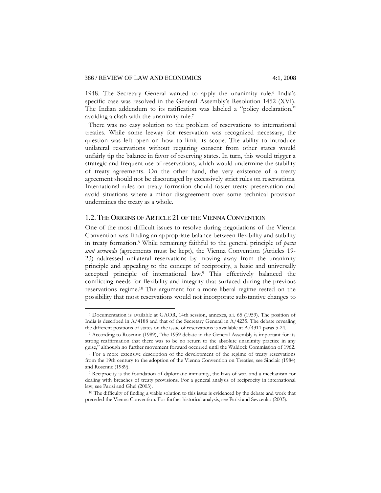1948. The Secretary General wanted to apply the unanimity rule.6 India's specific case was resolved in the General Assembly's Resolution 1452 (XVI). The Indian addendum to its ratification was labeled a "policy declaration," avoiding a clash with the unanimity rule.7

There was no easy solution to the problem of reservations to international treaties. While some leeway for reservation was recognized necessary, the question was left open on how to limit its scope. The ability to introduce unilateral reservations without requiring consent from other states would unfairly tip the balance in favor of reserving states. In turn, this would trigger a strategic and frequent use of reservations, which would undermine the stability of treaty agreements. On the other hand, the very existence of a treaty agreement should not be discouraged by excessively strict rules on reservations. International rules on treaty formation should foster treaty preservation and avoid situations where a minor disagreement over some technical provision undermines the treaty as a whole.

## 1.2. THE ORIGINS OF ARTICLE 21 OF THE VIENNA CONVENTION

One of the most difficult issues to resolve during negotiations of the Vienna Convention was finding an appropriate balance between flexibility and stability in treaty formation.<sup>8</sup> While remaining faithful to the general principle of *pacta* sunt servanda (agreements must be kept), the Vienna Convention (Articles 19-23) addressed unilateral reservations by moving away from the unanimity principle and appealing to the concept of reciprocity, a basic and universally accepted principle of international law.9 This effectively balanced the conflicting needs for flexibility and integrity that surfaced during the previous reservations regime.10 The argument for a more liberal regime rested on the possibility that most reservations would not incorporate substantive changes to

<sup>6</sup> Documentation is available at GAOR, 14th session, annexes, a.i. 65 (1959). The position of India is described in A/4188 and that of the Secretary General in A/4235. The debate revealing the different positions of states on the issue of reservations is available at A/4311 paras 5-24.

<sup>7</sup> According to Rosenne (1989), "the 1959 debate in the General Assembly is important for its strong reaffirmation that there was to be no return to the absolute unanimity practice in any guise," although no further movement forward occurred until the Waldock Commission of 1962. 8 For a more extensive description of the development of the regime of treaty reservations from the 19th century to the adoption of the Vienna Convention on Treaties, see Sinclair (1984)

and Rosenne (1989). 9 Reciprocity is the foundation of diplomatic immunity, the laws of war, and a mechanism for dealing with breaches of treaty provisions. For a general analysis of reciprocity in international

law, see Parisi and Ghei (2003).

<sup>&</sup>lt;sup>10</sup> The difficulty of finding a viable solution to this issue is evidenced by the debate and work that preceded the Vienna Convention. For further historical analysis, see Parisi and Sevcenko (2003).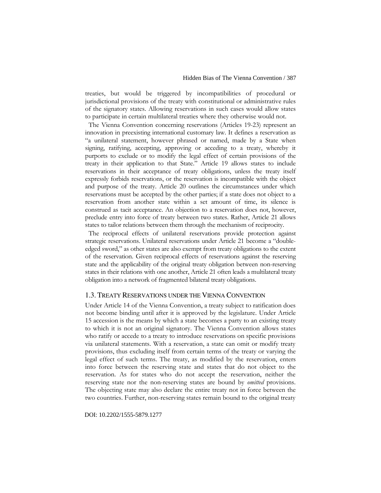treaties, but would be triggered by incompatibilities of procedural or jurisdictional provisions of the treaty with constitutional or administrative rules of the signatory states. Allowing reservations in such cases would allow states to participate in certain multilateral treaties where they otherwise would not.

The Vienna Convention concerning reservations (Articles 19-23) represent an innovation in preexisting international customary law. It defines a reservation as "a unilateral statement, however phrased or named, made by a State when signing, ratifying, accepting, approving or acceding to a treaty, whereby it purports to exclude or to modify the legal effect of certain provisions of the treaty in their application to that State." Article 19 allows states to include reservations in their acceptance of treaty obligations, unless the treaty itself expressly forbids reservations, or the reservation is incompatible with the object and purpose of the treaty. Article 20 outlines the circumstances under which reservations must be accepted by the other parties; if a state does not object to a reservation from another state within a set amount of time, its silence is construed as tacit acceptance. An objection to a reservation does not, however, preclude entry into force of treaty between two states. Rather, Article 21 allows states to tailor relations between them through the mechanism of reciprocity.

The reciprocal effects of unilateral reservations provide protection against strategic reservations. Unilateral reservations under Article 21 become a "doubleedged sword," as other states are also exempt from treaty obligations to the extent of the reservation. Given reciprocal effects of reservations against the reserving state and the applicability of the original treaty obligation between non-reserving states in their relations with one another, Article 21 often leads a multilateral treaty obligation into a network of fragmented bilateral treaty obligations.

### 1.3. TREATY RESERVATIONS UNDER THE VIENNA CONVENTION

Under Article 14 of the Vienna Convention, a treaty subject to ratification does not become binding until after it is approved by the legislature. Under Article 15 accession is the means by which a state becomes a party to an existing treaty to which it is not an original signatory. The Vienna Convention allows states who ratify or accede to a treaty to introduce reservations on specific provisions via unilateral statements. With a reservation, a state can omit or modify treaty provisions, thus excluding itself from certain terms of the treaty or varying the legal effect of such terms. The treaty, as modified by the reservation, enters into force between the reserving state and states that do not object to the reservation. As for states who do not accept the reservation, neither the reserving state nor the non-reserving states are bound by *omitted* provisions. The objecting state may also declare the entire treaty not in force between the two countries. Further, non-reserving states remain bound to the original treaty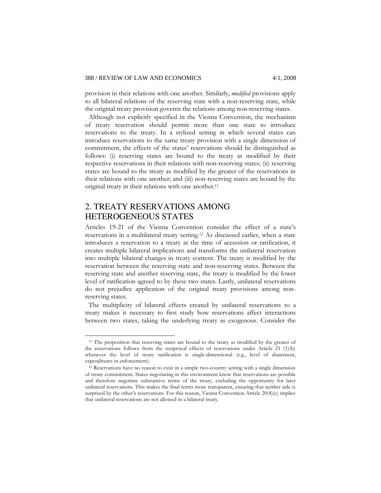provision in their relations with one another. Similarly, modified provisions apply to all bilateral relations of the reserving state with a non-reserving state, while the original treaty provision governs the relations among non-reserving states.

Although not explicitly specified in the Vienna Convention, the mechanism of treaty reservation should permit more than one state to introduce reservations to the treaty. In a stylized setting in which several states can introduce reservations to the same treaty provision with a single dimension of commitment, the effects of the states' reservations should be distinguished as follows: (i) reserving states are bound to the treaty as modified by their respective reservations in their relations with non-reserving states; (ii) reserving states are bound to the treaty as modified by the greater of the reservations in their relations with one another; and (iii) non-reserving states are bound by the original treaty in their relations with one another.11

## 2. TREATY RESERVATIONS AMONG HETEROGENEOUS STATES

 $\overline{a}$ 

Articles 19-21 of the Vienna Convention consider the effect of a state's reservations in a multilateral treaty setting.12 As discussed earlier, when a state introduces a reservation to a treaty at the time of accession or ratification, it creates multiple bilateral implications and transforms the unilateral reservation into multiple bilateral changes in treaty content. The treaty is modified by the reservation between the reserving state and non-reserving states. Between the reserving state and another reserving state, the treaty is modified by the lower level of ratification agreed to by these two states. Lastly, unilateral reservations do not prejudice application of the original treaty provisions among nonreserving states.

The multiplicity of bilateral effects created by unilateral reservations to a treaty makes it necessary to first study how reservations affect interactions between two states, taking the underlying treaty as exogenous. Consider the

<sup>&</sup>lt;sup>11</sup> The proposition that reserving states are bound to the treaty as modified by the greater of the reservations follows from the reciprocal effects of reservations under Article 21 (1)(b) whenever the level of treaty ratification is single-dimensional (e.g., level of abatement, expenditures in enforcement).

<sup>12</sup> Reservations have no reason to exist in a simple two-country setting with a single dimension of treaty commitment. States negotiating in this environment know that reservations are possible and therefore negotiate substantive terms of the treaty, excluding the opportunity for later unilateral reservations. This makes the final terms more transparent, ensuring that neither side is surprised by the other's reservations. For this reason, Vienna Convention Article 20(4)(c) implies that unilateral reservations are not allowed in a bilateral treaty.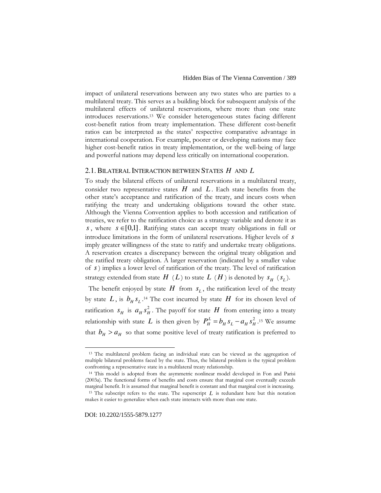impact of unilateral reservations between any two states who are parties to a multilateral treaty. This serves as a building block for subsequent analysis of the multilateral effects of unilateral reservations, where more than one state introduces reservations.13 We consider heterogeneous states facing different cost-benefit ratios from treaty implementation. These different cost-benefit ratios can be interpreted as the states' respective comparative advantage in international cooperation. For example, poorer or developing nations may face higher cost-benefit ratios in treaty implementation, or the well-being of large and powerful nations may depend less critically on international cooperation.

## 2.1. BILATERAL INTERACTION BETWEEN STATES *H* AND *L*

To study the bilateral effects of unilateral reservations in a multilateral treaty, consider two representative states  $H$  and  $L$ . Each state benefits from the other state's acceptance and ratification of the treaty, and incurs costs when ratifying the treaty and undertaking obligations toward the other state. Although the Vienna Convention applies to both accession and ratification of treaties, we refer to the ratification choice as a strategy variable and denote it as *s*, where *s* ∈[0,1]. Ratifying states can accept treaty obligations in full or introduce limitations in the form of unilateral reservations. Higher levels of *s* imply greater willingness of the state to ratify and undertake treaty obligations. A reservation creates a discrepancy between the original treaty obligation and the ratified treaty obligation. A larger reservation (indicated by a smaller value of *s*) implies a lower level of ratification of the treaty. The level of ratification strategy extended from state  $H(L)$  to state  $L(H)$  is denoted by  $s_H(s_L)$ .

The benefit enjoyed by state  $H$  from  $s_L$ , the ratification level of the treaty by state  $L$ , is  $b_H s_L$ .<sup>14</sup> The cost incurred by state  $H$  for its chosen level of ratification  $s_H$  is  $a_H s_H^2$ . The payoff for state  $H$  from entering into a treaty relationship with state L is then given by  $P_H^L = b_H s_L - a_H s_H^2$  $P_H^L = b_H s_L - a_H s_H^2$ .<sup>15</sup> We assume that  $b_H > a_H$  so that some positive level of treaty ratification is preferred to

<sup>13</sup> The multilateral problem facing an individual state can be viewed as the aggregation of multiple bilateral problems faced by the state. Thus, the bilateral problem is the typical problem confronting a representative state in a multilateral treaty relationship.

<sup>14</sup> This model is adopted from the asymmetric nonlinear model developed in Fon and Parisi (2003a). The functional forms of benefits and costs ensure that marginal cost eventually exceeds marginal benefit. It is assumed that marginal benefit is constant and that marginal cost is increasing.

<sup>&</sup>lt;sup>15</sup> The subscript refers to the state. The superscript  $L$  is redundant here but this notation makes it easier to generalize when each state interacts with more than one state.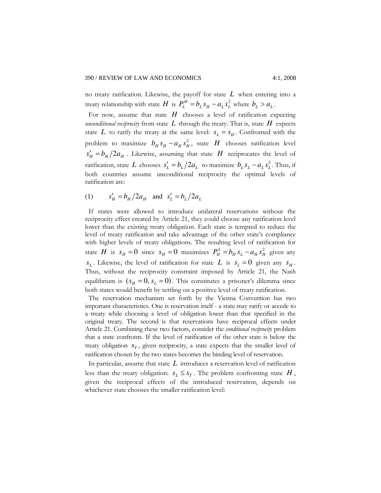no treaty ratification. Likewise, the payoff for state *L* when entering into a treaty relationship with state *H* is  $P_L^H = b_L s_H - a_L s_L^2$  $P_L^H = b_L s_H - a_L s_L^2$  where  $b_L > a_L$ .

For now, assume that state  $H$  chooses a level of ratification expecting *unconditional reciprocity* from state  $L$  through the treaty. That is, state  $H$  expects state *L* to ratify the treaty at the same level:  $s_L = s_H$ . Confronted with the problem to maximize  $b_H s_H - a_H s_H^2$ , state *H* chooses ratification level  $s'_H = b_H/2a_H$ . Likewise, assuming that state *H* reciprocates the level of ratification, state *L* chooses  $s'_{L} = b_{L}/2a_{L}$  to maximize  $b_{L}s_{L} - a_{L}s_{L}^{2}$ . Thus, if both countries assume unconditional reciprocity the optimal levels of ratification are:

(1) 
$$
s'_H = b_H/2a_H
$$
 and  $s'_L = b_L/2a_L$ 

If states were allowed to introduce unilateral reservations without the reciprocity effect created by Article 21, they could choose any ratification level lower than the existing treaty obligation. Each state is tempted to reduce the level of treaty ratification and take advantage of the other state's compliance with higher levels of treaty obligations. The resulting level of ratification for state *H* is  $s_H = 0$  since  $s_H = 0$  maximizes  $P_H^L = b_H s_L - a_H s_H^2$  $P_H^L = b_H s_L - a_H s_H^2$  given any  $s_L$ . Likewise, the level of ratification for state *L* is  $s_L = 0$  given any  $s_H$ . Thus, without the reciprocity constraint imposed by Article 21, the Nash equilibrium is  $(s_H = 0, s_L = 0)$ . This constitutes a prisoner's dilemma since both states would benefit by settling on a positive level of treaty ratification.

The reservation mechanism set forth by the Vienna Convention has two important characteristics. One is reservation itself - a state may ratify or accede to a treaty while choosing a level of obligation lower than that specified in the original treaty. The second is that reservations have reciprocal effects under Article 21. Combining these two factors, consider the conditional reciprocity problem that a state confronts. If the level of ratification of the other state is below the treaty obligation  $s_T$ , given reciprocity, a state expects that the smaller level of ratification chosen by the two states becomes the binding level of reservation.

In particular, assume that state *L* introduces a reservation level of ratification less than the treaty obligation:  $s_L \leq s_T$ . The problem confronting state *H*, given the reciprocal effects of the introduced reservation, depends on whichever state chooses the smaller ratification level: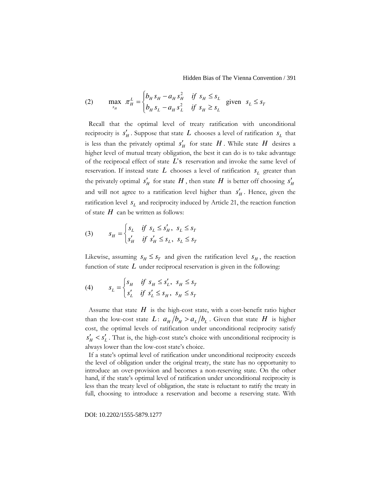Hidden Bias of The Vienna Convention / 391

(2) 
$$
\max_{s_H} \ \pi_H^L = \begin{cases} b_H s_H - a_H s_H^2 & \text{if } s_H \le s_L \\ b_H s_L - a_H s_L^2 & \text{if } s_H \ge s_L \end{cases} \text{ given } s_L \le s_T
$$

Recall that the optimal level of treaty ratification with unconditional reciprocity is  $s'_H$ . Suppose that state L chooses a level of ratification  $s_L$  that is less than the privately optimal  $s'_{H}$  for state *H*. While state *H* desires a higher level of mutual treaty obligation, the best it can do is to take advantage of the reciprocal effect of state *L*'s reservation and invoke the same level of reservation. If instead state  $L$  chooses a level of ratification  $s_L$  greater than the privately optimal  $s'_H$  for state  $H$ , then state  $H$  is better off choosing  $s'_H$ and will not agree to a ratification level higher than  $s'_H$ . Hence, given the ratification level  $s_L$  and reciprocity induced by Article 21, the reaction function of state  $H$  can be written as follows:

$$
(3) \qquad s_H = \begin{cases} s_L & \text{if } s_L \le s_H', \ s_L \le s_T \\ s_H' & \text{if } s_H' \le s_L, \ s_L \le s_T \end{cases}
$$

Likewise, assuming  $s_H \leq s_T$  and given the ratification level  $s_H$ , the reaction function of state *L* under reciprocal reservation is given in the following:

$$
(4) \qquad s_L = \begin{cases} s_H & \text{if } s_H \le s_L', \ s_H \le s_T \\ s_L' & \text{if } s_L' \le s_H, \ s_H \le s_T \end{cases}
$$

Assume that state  $H$  is the high-cost state, with a cost-benefit ratio higher than the low-cost state  $L: a_H/b_H > a_L/b_L$ . Given that state H is higher cost, the optimal levels of ratification under unconditional reciprocity satisfy  $s'_H < s'_L$ . That is, the high-cost state's choice with unconditional reciprocity is always lower than the low-cost state's choice.

If a state's optimal level of ratification under unconditional reciprocity exceeds the level of obligation under the original treaty, the state has no opportunity to introduce an over-provision and becomes a non-reserving state. On the other hand, if the state's optimal level of ratification under unconditional reciprocity is less than the treaty level of obligation, the state is reluctant to ratify the treaty in full, choosing to introduce a reservation and become a reserving state. With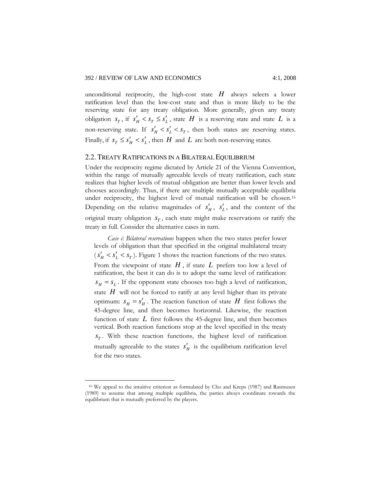unconditional reciprocity, the high-cost state  $H$  always selects a lower ratification level than the low-cost state and thus is more likely to be the reserving state for any treaty obligation. More generally, given any treaty obligation  $s_T$ , if  $s'_H < s_T \leq s'_L$ , state *H* is a reserving state and state *L* is a non-reserving state. If  $s'_H < s'_L < s_T$ , then both states are reserving states. Finally, if  $s_T \leq s_H' < s_L'$ , then *H* and *L* are both non-reserving states.

## 2.2. TREATY RATIFICATIONS IN A BILATERAL EQUILIBRIUM

Under the reciprocity regime dictated by Article 21 of the Vienna Convention, within the range of mutually agreeable levels of treaty ratification, each state realizes that higher levels of mutual obligation are better than lower levels and chooses accordingly. Thus, if there are multiple mutually acceptable equilibria under reciprocity, the highest level of mutual ratification will be chosen.16 Depending on the relative magnitudes of  $s'_H$ ,  $s'_L$ , and the content of the original treaty obligation  $s<sub>r</sub>$ , each state might make reservations or ratify the treaty in full. Consider the alternative cases in turn.

Case i: Bilateral reservations happen when the two states prefer lower levels of obligation than that specified in the original multilateral treaty  $(s'_H < s'_L < s_T)$ . Figure 1 shows the reaction functions of the two states. From the viewpoint of state *H* , if state *L* prefers too low a level of ratification, the best it can do is to adopt the same level of ratification:  $s_H = s_L$ . If the opponent state chooses too high a level of ratification, state *H* will not be forced to ratify at any level higher than its private optimum:  $s_H = s'_H$ . The reaction function of state *H* first follows the 45-degree line, and then becomes horizontal. Likewise, the reaction function of state *L* first follows the 45-degree line, and then becomes vertical. Both reaction functions stop at the level specified in the treaty  $S_T$ . With these reaction functions, the highest level of ratification mutually agreeable to the states  $s'_{H}$  is the equilibrium ratification level for the two states.

-

<sup>16</sup> We appeal to the intuitive criterion as formulated by Cho and Kreps (1987) and Rasmusen (1989) to assume that among multiple equilibria, the parties always coordinate towards the equilibrium that is mutually preferred by the players.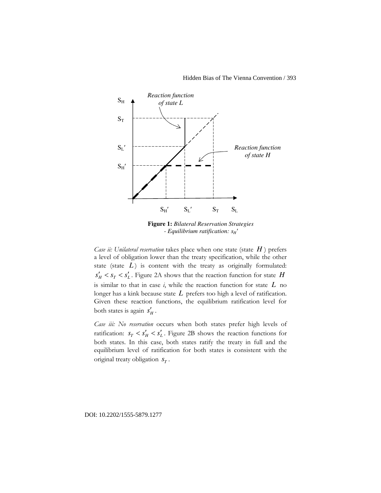

**Figure 1:** *Bilateral Reservation Strategies - Equilibrium ratification: sH*′

*Case ii: Unilateral reservation* takes place when one state (state  $H$ ) prefers a level of obligation lower than the treaty specification, while the other state (state  $L$ ) is content with the treaty as originally formulated:  $s'_H < s_T < s'_L$ . Figure 2A shows that the reaction function for state *H* is similar to that in case  $i$ , while the reaction function for state  $L$  no longer has a kink because state *L* prefers too high a level of ratification. Given these reaction functions, the equilibrium ratification level for both states is again  $S'_H$ .

Case iii: No reservation occurs when both states prefer high levels of ratification:  $s_T < s'_H < s'_L$ . Figure 2B shows the reaction functions for both states. In this case, both states ratify the treaty in full and the equilibrium level of ratification for both states is consistent with the original treaty obligation  $s<sub>r</sub>$ .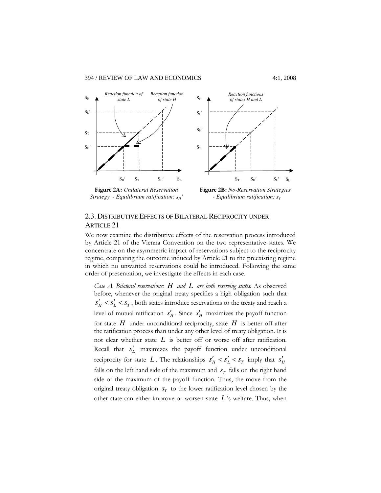

## 2.3. DISTRIBUTIVE EFFECTS OF BILATERAL RECIPROCITY UNDER ARTICLE 21

We now examine the distributive effects of the reservation process introduced by Article 21 of the Vienna Convention on the two representative states. We concentrate on the asymmetric impact of reservations subject to the reciprocity regime, comparing the outcome induced by Article 21 to the preexisting regime in which no unwanted reservations could be introduced. Following the same order of presentation, we investigate the effects in each case.

Case A. Bilateral reservations: *H* and *L* are both reserving states. As observed before, whenever the original treaty specifies a high obligation such that  $s'_H < s'_L < s_T$ , both states introduce reservations to the treaty and reach a level of mutual ratification  $s'_H$ . Since  $s'_H$  maximizes the payoff function for state  $H$  under unconditional reciprocity, state  $H$  is better off after the ratification process than under any other level of treaty obligation. It is not clear whether state *L* is better off or worse off after ratification. Recall that  $s'$  maximizes the payoff function under unconditional reciprocity for state *L*. The relationships  $s'_H < s'_L < s_T$  imply that  $s'_H$ falls on the left hand side of the maximum and  $S_T$  falls on the right hand side of the maximum of the payoff function. Thus, the move from the original treaty obligation  $s<sub>r</sub>$  to the lower ratification level chosen by the other state can either improve or worsen state *L* 's welfare. Thus, when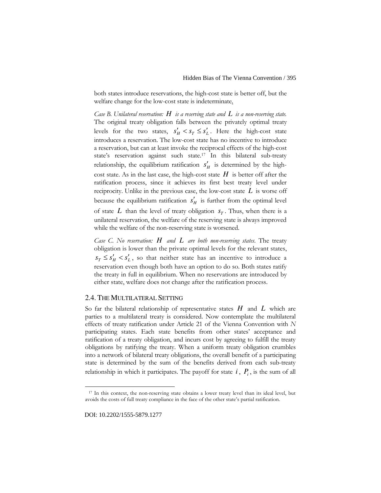both states introduce reservations, the high-cost state is better off, but the welfare change for the low-cost state is indeterminate.

Case B. Unilateral reservation: *H* is a reserving state and *L* is a non-reserving state. The original treaty obligation falls between the privately optimal treaty levels for the two states,  $s'_H < s_T \leq s'_L$ . Here the high-cost state introduces a reservation. The low-cost state has no incentive to introduce a reservation, but can at least invoke the reciprocal effects of the high-cost state's reservation against such state.17 In this bilateral sub-treaty relationship, the equilibrium ratification  $S'_{H}$  is determined by the highcost state. As in the last case, the high-cost state  $H$  is better off after the ratification process, since it achieves its first best treaty level under reciprocity. Unlike in the previous case, the low-cost state *L* is worse off because the equilibrium ratification  $s'_{H}$  is further from the optimal level of state *L* than the level of treaty obligation  $s<sub>r</sub>$ . Thus, when there is a unilateral reservation, the welfare of the reserving state is always improved while the welfare of the non-reserving state is worsened.

Case C. No reservation: *H* and *L* are both non-reserving states. The treaty obligation is lower than the private optimal levels for the relevant states,  $s_T \leq s'_H < s'_L$ , so that neither state has an incentive to introduce a reservation even though both have an option to do so. Both states ratify the treaty in full in equilibrium. When no reservations are introduced by either state, welfare does not change after the ratification process.

## 2.4. THE MULTILATERAL SETTING

So far the bilateral relationship of representative states *H* and *L* which are parties to a multilateral treaty is considered. Now contemplate the multilateral effects of treaty ratification under Article 21 of the Vienna Convention with N participating states. Each state benefits from other states' acceptance and ratification of a treaty obligation, and incurs cost by agreeing to fulfill the treaty obligations by ratifying the treaty. When a uniform treaty obligation crumbles into a network of bilateral treaty obligations, the overall benefit of a participating state is determined by the sum of the benefits derived from each sub-treaty relationship in which it participates. The payoff for state  $i$ ,  $P_i$ , is the sum of all

<sup>&</sup>lt;sup>17</sup> In this context, the non-reserving state obtains a lower treaty level than its ideal level, but avoids the costs of full treaty compliance in the face of the other state's partial ratification.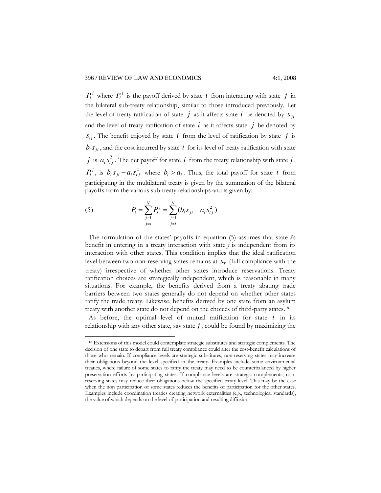$P_i^j$  where  $P_i^j$  is the payoff derived by state *i* from interacting with state *j* in the bilateral sub-treaty relationship, similar to those introduced previously. Let the level of treaty ratification of state *j* as it affects state *i* be denoted by  $s_{ii}$ and the level of treaty ratification of state  $i$  as it affects state  $j$  be denoted by  $s_{ii}$ . The benefit enjoyed by state *i* from the level of ratification by state *j* is  $b_i s_{ii}$ , and the cost incurred by state *i* for its level of treaty ratification with state *j* is  $a_i s_{ij}^2$ . The net payoff for state *i* from the treaty relationship with state *j*,  $P_i^j$ , is  $b_i s_{ji} - a_i s_{ij}^2$  where  $b_i > a_i$ . Thus, the total payoff for state *i* from participating in the multilateral treaty is given by the summation of the bilateral payoffs from the various sub-treaty relationships and is given by:

(5) 
$$
P_i = \sum_{\substack{j=1 \ j \neq i}}^N P_i^j = \sum_{\substack{j=1 \ j \neq i}}^N (b_i s_{ji} - a_i s_{ij}^2)
$$

 $\overline{a}$ 

The formulation of the states' payoffs in equation (5) assumes that state  $i$ 's benefit in entering in a treaty interaction with state  $j$  is independent from its interaction with other states. This condition implies that the ideal ratification level between two non-reserving states remains at  $s_T$  (full compliance with the treaty) irrespective of whether other states introduce reservations. Treaty ratification choices are strategically independent, which is reasonable in many situations. For example, the benefits derived from a treaty abating trade barriers between two states generally do not depend on whether other states ratify the trade treaty. Likewise, benefits derived by one state from an asylum treaty with another state do not depend on the choices of third-party states.18

As before, the optimal level of mutual ratification for state *i* in its relationship with any other state, say state  $j$ , could be found by maximizing the

<sup>&</sup>lt;sup>18</sup> Extensions of this model could contemplate strategic substitutes and strategic complements. The decision of one state to depart from full treaty compliance could alter the cost-benefit calculations of those who remain. If compliance levels are strategic substitutes, non-reserving states may increase their obligations beyond the level specified in the treaty. Examples include some environmental treaties, where failure of some states to ratify the treaty may need to be counterbalanced by higher preservation efforts by participating states. If compliance levels are strategic complements, nonreserving states may reduce their obligations below the specified treaty level. This may be the case when the non participation of some states reduces the benefits of participation for the other states. Examples include coordination treaties creating network externalities (e.g., technological standards), the value of which depends on the level of participation and resulting diffusion.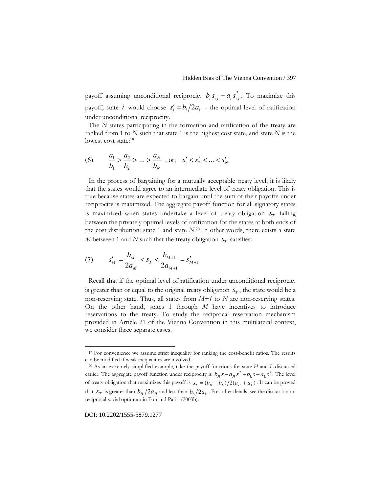payoff assuming unconditional reciprocity  $b_i s_{ij} - a_i s_{ij}^2$ . To maximize this payoff, state *i* would choose  $s_i' = b_i/2a_i$  - the optimal level of ratification under unconditional reciprocity.

The N states participating in the formation and ratification of the treaty are ranked from 1 to  $N$  such that state 1 is the highest cost state, and state  $N$  is the lowest cost state:<sup>19</sup>

(6) 
$$
\frac{a_1}{b_1} > \frac{a_2}{b_2} > \dots > \frac{a_N}{b_N}
$$
, or,  $s_1' < s_2' < \dots < s_N'$ 

In the process of bargaining for a mutually acceptable treaty level, it is likely that the states would agree to an intermediate level of treaty obligation. This is true because states are expected to bargain until the sum of their payoffs under reciprocity is maximized. The aggregate payoff function for all signatory states is maximized when states undertake a level of treaty obligation  $s<sub>T</sub>$  falling between the privately optimal levels of ratification for the states at both ends of the cost distribution: state 1 and state  $N^{20}$  In other words, there exists a state M between 1 and N such that the treaty obligation  $s_T$  satisfies:

(7) 
$$
S'_M = \frac{b_M}{2a_M} < s_T < \frac{b_{M+1}}{2a_{M+1}} = s'_{M+1}
$$

Recall that if the optimal level of ratification under unconditional reciprocity is greater than or equal to the original treaty obligation  $S_T$ , the state would be a non-reserving state. Thus, all states from  $M+1$  to N are non-reserving states. On the other hand, states 1 through  $M$  have incentives to introduce reservations to the treaty. To study the reciprocal reservation mechanism provided in Article 21 of the Vienna Convention in this multilateral context, we consider three separate cases.

 $\overline{a}$ <sup>19</sup> For convenience we assume strict inequality for ranking the cost-benefit ratios. The results can be modified if weak inequalities are involved.

 $20$  As an extremely simplified example, take the payoff functions for state  $H$  and  $L$  discussed earlier. The aggregate payoff function under reciprocity is  $b_{H} s - a_{H} s^{2} + b_{L} s - a_{L} s^{2}$ . The level of treaty obligation that maximizes this payoff is  $s_T = (b_H + b_L)/2(a_H + a_L)$ . It can be proved that  $S_T$  is greater than  $b_H/2a_H$  and less than  $b_L/2a_L$ . For other details, see the discussion on reciprocal social optimum in Fon and Parisi (2003b).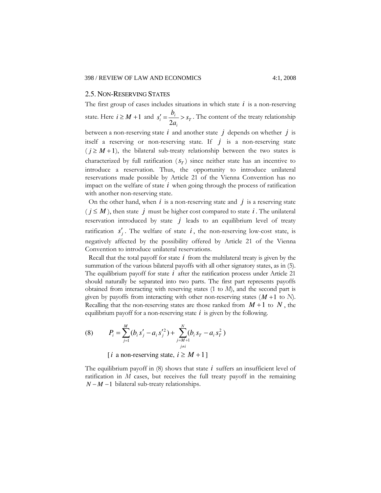## 2.5. NON-RESERVING STATES

The first group of cases includes situations in which state *i* is a non-reserving state. Here  $i \geq M + 1$  and  $s_i' = \frac{b_i}{2} > s_T$ *i*  $i' = \frac{v_i}{2a_i} > s$  $s'_{i} = \frac{b_{i}}{2a_{i}} > s_{T}$ . The content of the treaty relationship between a non-reserving state *i* and another state *j* depends on whether *j* is itself a reserving or non-reserving state. If *j* is a non-reserving state

 $(j \geq M + 1)$ , the bilateral sub-treaty relationship between the two states is characterized by full ratification  $(s_T)$  since neither state has an incentive to introduce a reservation. Thus, the opportunity to introduce unilateral reservations made possible by Article 21 of the Vienna Convention has no impact on the welfare of state *i* when going through the process of ratification with another non-reserving state.

On the other hand, when  $i$  is a non-reserving state and  $j$  is a reserving state  $(j \leq M)$ , then state *j* must be higher cost compared to state *i*. The unilateral reservation introduced by state  $j$  leads to an equilibrium level of treaty ratification  $s'$ . The welfare of state  $i$ , the non-reserving low-cost state, is negatively affected by the possibility offered by Article 21 of the Vienna Convention to introduce unilateral reservations.

Recall that the total payoff for state  $\vec{i}$  from the multilateral treaty is given by the summation of the various bilateral payoffs with all other signatory states, as in (5). The equilibrium payoff for state  $i$  after the ratification process under Article 21 should naturally be separated into two parts. The first part represents payoffs obtained from interacting with reserving states (1 to M), and the second part is given by payoffs from interacting with other non-reserving states  $(M + 1)$  to N). Recalling that the non-reserving states are those ranked from  $M+1$  to  $N$ , the equilibrium payoff for a non-reserving state *i* is given by the following.

(8) 
$$
P_i = \sum_{j=1}^{M} (b_i s'_j - a_i s'_j)^2 + \sum_{\substack{j=M+1 \ j \neq i}}^{N} (b_i s_T - a_i s_T^2)
$$

[*i* a non-reserving state,  $i \geq M+1$ ]

The equilibrium payoff in  $(8)$  shows that state  $i$  suffers an insufficient level of ratification in  $M$  cases, but receives the full treaty payoff in the remaining *N* − *M* − 1 bilateral sub-treaty relationships.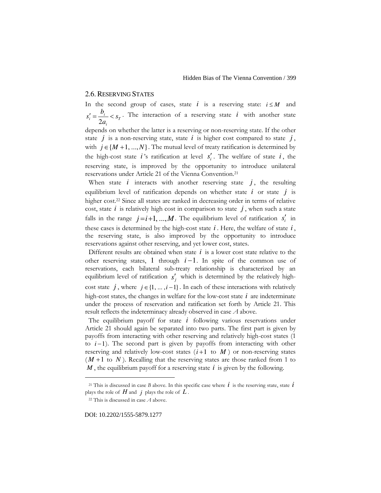## 2.6. RESERVING STATES

In the second group of cases, state *i* is a reserving state:  $i \le M$  and  $\frac{b_i}{2a_i} < s_T$ *i*  $s_i' = \frac{b_i}{2}$ 2 . The interaction of a reserving state *i* with another state depends on whether the latter is a reserving or non-reserving state. If the other state  $j$  is a non-reserving state, state  $i$  is higher cost compared to state  $j$ , with  $j \in \{M+1, ..., N\}$ . The mutual level of treaty ratification is determined by the high-cost state *i*'s ratification at level  $s_i'$ . The welfare of state *i*, the reserving state, is improved by the opportunity to introduce unilateral

reservations under Article 21 of the Vienna Convention.21

When state  $i$  interacts with another reserving state  $j$ , the resulting equilibrium level of ratification depends on whether state *i* or state *j* is higher cost.<sup>22</sup> Since all states are ranked in decreasing order in terms of relative cost, state  $i$  is relatively high cost in comparison to state  $j$ , when such a state falls in the range  $j = i+1, ..., M$ . The equilibrium level of ratification  $s'_i$  in these cases is determined by the high-cost state *i* . Here, the welfare of state *i* , the reserving state, is also improved by the opportunity to introduce reservations against other reserving, and yet lower cost, states.

Different results are obtained when state  $i$  is a lower cost state relative to the other reserving states, 1 through *i* −1. In spite of the common use of reservations, each bilateral sub-treaty relationship is characterized by an equilibrium level of ratification  $s'$ , which is determined by the relatively highcost state  $j$ , where  $j \in \{1, ..., i-1\}$ . In each of these interactions with relatively high-cost states, the changes in welfare for the low-cost state  $i$  are indeterminate under the process of reservation and ratification set forth by Article 21. This result reflects the indeterminacy already observed in case A above.

The equilibrium payoff for state *i* following various reservations under Article 21 should again be separated into two parts. The first part is given by payoffs from interacting with other reserving and relatively high-cost states (1 to *i* −1). The second part is given by payoffs from interacting with other reserving and relatively low-cost states  $(i+1$  to  $M$ ) or non-reserving states  $(M+1)$  to N). Recalling that the reserving states are those ranked from 1 to *M* , the equilibrium payoff for a reserving state *i* is given by the following.

DOI: 10.2202/1555-5879.1277

<sup>&</sup>lt;sup>21</sup> This is discussed in case *B* above. In this specific case where  $\boldsymbol{i}$  is the reserving state, state  $\boldsymbol{i}$ plays the role of *H* and *j* plays the role of *L* .

<sup>&</sup>lt;sup>22</sup> This is discussed in case  $A$  above.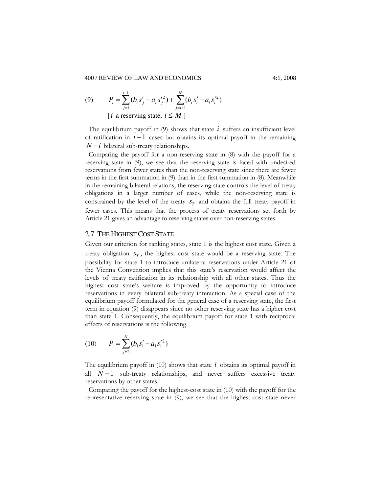(9) 
$$
P_i = \sum_{j=1}^{i-1} (b_i s'_j - a_i s'_j^2) + \sum_{j=i+1}^{N} (b_i s'_i - a_i s'_i^2)
$$
  
[*i* a reserving state, *i*  $\leq$  *M*]

The equilibrium payoff in  $(9)$  shows that state  $i$  suffers an insufficient level of ratification in *i* −1 cases but obtains its optimal payoff in the remaining  $N - i$  bilateral sub-treaty relationships.

Comparing the payoff for a non-reserving state in (8) with the payoff for a reserving state in (9), we see that the reserving state is faced with undesired reservations from fewer states than the non-reserving state since there are fewer terms in the first summation in (9) than in the first summation in (8). Meanwhile in the remaining bilateral relations, the reserving state controls the level of treaty obligations in a larger number of cases, while the non-reserving state is constrained by the level of the treaty  $s_T$  and obtains the full treaty payoff in fewer cases. This means that the process of treaty reservations set forth by Article 21 gives an advantage to reserving states over non-reserving states.

## 2.7. THE HIGHEST COST STATE

Given our criterion for ranking states, state 1 is the highest cost state. Given a treaty obligation  $s<sub>r</sub>$ , the highest cost state would be a reserving state. The possibility for state 1 to introduce unilateral reservations under Article 21 of the Vienna Convention implies that this state's reservation would affect the levels of treaty ratification in its relationship with all other states. Thus the highest cost state's welfare is improved by the opportunity to introduce reservations in every bilateral sub-treaty interaction. As a special case of the equilibrium payoff formulated for the general case of a reserving state, the first term in equation (9) disappears since no other reserving state has a higher cost than state 1. Consequently, the equilibrium payoff for state 1 with reciprocal effects of reservations is the following.

(10) 
$$
P_1 = \sum_{j=2}^{N} (b_1 s_1' - a_1 s_1'^2)
$$

The equilibrium payoff in  $(10)$  shows that state *i* obtains its optimal payoff in all  $N-1$  sub-treaty relationships, and never suffers excessive treaty reservations by other states.

Comparing the payoff for the highest-cost state in (10) with the payoff for the representative reserving state in (9), we see that the highest-cost state never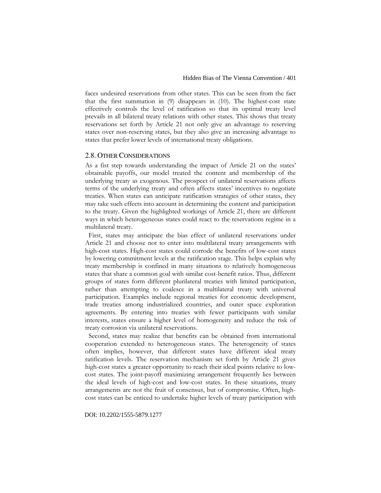faces undesired reservations from other states. This can be seen from the fact that the first summation in (9) disappears in (10). The highest-cost state effectively controls the level of ratification so that its optimal treaty level prevails in all bilateral treaty relations with other states. This shows that treaty reservations set forth by Article 21 not only give an advantage to reserving states over non-reserving states, but they also give an increasing advantage to states that prefer lower levels of international treaty obligations.

### 2.8. OTHER CONSIDERATIONS

As a fist step towards understanding the impact of Article 21 on the states' obtainable payoffs, our model treated the content and membership of the underlying treaty as exogenous. The prospect of unilateral reservations affects terms of the underlying treaty and often affects states' incentives to negotiate treaties. When states can anticipate ratification strategies of other states, they may take such effects into account in determining the content and participation to the treaty. Given the highlighted workings of Article 21, there are different ways in which heterogeneous states could react to the reservations regime in a multilateral treaty.

First, states may anticipate the bias effect of unilateral reservations under Article 21 and choose not to enter into multilateral treaty arrangements with high-cost states. High-cost states could corrode the benefits of low-cost states by lowering commitment levels at the ratification stage. This helps explain why treaty membership is confined in many situations to relatively homogeneous states that share a common goal with similar cost-benefit ratios. Thus, different groups of states form different plurilateral treaties with limited participation, rather than attempting to coalesce in a multilateral treaty with universal participation. Examples include regional treaties for economic development, trade treaties among industrialized countries, and outer space exploration agreements. By entering into treaties with fewer participants with similar interests, states ensure a higher level of homogeneity and reduce the risk of treaty corrosion via unilateral reservations.

Second, states may realize that benefits can be obtained from international cooperation extended to heterogeneous states. The heterogeneity of states often implies, however, that different states have different ideal treaty ratification levels. The reservation mechanism set forth by Article 21 gives high-cost states a greater opportunity to reach their ideal points relative to lowcost states. The joint-payoff maximizing arrangement frequently lies between the ideal levels of high-cost and low-cost states. In these situations, treaty arrangements are not the fruit of consensus, but of compromise. Often, highcost states can be enticed to undertake higher levels of treaty participation with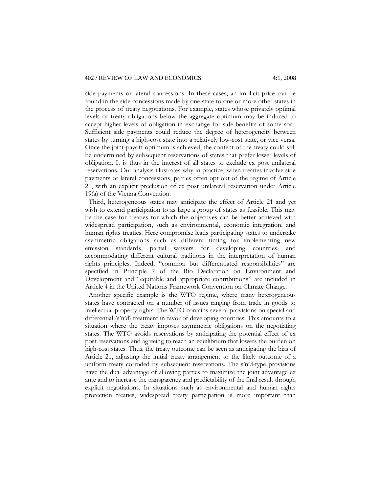side payments or lateral concessions. In these cases, an implicit price can be found in the side concessions made by one state to one or more other states in the process of treaty negotiations. For example, states whose privately optimal levels of treaty obligations below the aggregate optimum may be induced to accept higher levels of obligation in exchange for side benefits of some sort. Sufficient side payments could reduce the degree of heterogeneity between states by turning a high-cost state into a relatively low-cost state, or vice versa. Once the joint-payoff optimum is achieved, the content of the treaty could still be undermined by subsequent reservations of states that prefer lower levels of obligation. It is thus in the interest of all states to exclude ex post unilateral reservations. Our analysis illustrates why in practice, when treaties involve side payments or lateral concessions, parties often opt out of the regime of Article 21, with an explicit preclusion of ex post unilateral reservation under Article 19(a) of the Vienna Convention.

Third, heterogeneous states may anticipate the effect of Article 21 and yet wish to extend participation to as large a group of states as feasible. This may be the case for treaties for which the objectives can be better achieved with widespread participation, such as environmental, economic integration, and human rights treaties. Here compromise leads participating states to undertake asymmetric obligations such as different timing for implementing new emission standards, partial waivers for developing countries, and accommodating different cultural traditions in the interpretation of human rights principles. Indeed, "common but differentiated responsibilities" are specified in Principle 7 of the Rio Declaration on Environment and Development and "equitable and appropriate contributions" are included in Article 4 in the United Nations Framework Convention on Climate Change.

Another specific example is the WTO regime, where many heterogeneous states have contracted on a number of issues ranging from trade in goods to intellectual property rights. The WTO contains several provisions on special and differential (s'n'd) treatment in favor of developing countries. This amounts to a situation where the treaty imposes asymmetric obligations on the negotiating states. The WTO avoids reservations by anticipating the potential effect of ex post reservations and agreeing to reach an equilibrium that lowers the burden on high-cost states. Thus, the treaty outcome can be seen as anticipating the bias of Article 21, adjusting the initial treaty arrangement to the likely outcome of a uniform treaty corroded by subsequent reservations. The s'n'd-type provisions have the dual advantage of allowing parties to maximize the joint advantage ex ante and to increase the transparency and predictability of the final result through explicit negotiations. In situations such as environmental and human rights protection treaties, widespread treaty participation is more important than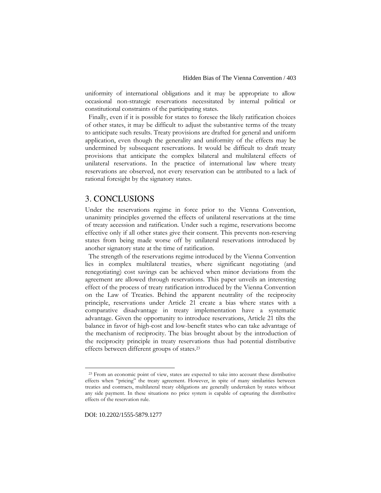uniformity of international obligations and it may be appropriate to allow occasional non-strategic reservations necessitated by internal political or constitutional constraints of the participating states.

Finally, even if it is possible for states to foresee the likely ratification choices of other states, it may be difficult to adjust the substantive terms of the treaty to anticipate such results. Treaty provisions are drafted for general and uniform application, even though the generality and uniformity of the effects may be undermined by subsequent reservations. It would be difficult to draft treaty provisions that anticipate the complex bilateral and multilateral effects of unilateral reservations. In the practice of international law where treaty reservations are observed, not every reservation can be attributed to a lack of rational foresight by the signatory states.

## 3. CONCLUSIONS

Under the reservations regime in force prior to the Vienna Convention, unanimity principles governed the effects of unilateral reservations at the time of treaty accession and ratification. Under such a regime, reservations become effective only if all other states give their consent. This prevents non-reserving states from being made worse off by unilateral reservations introduced by another signatory state at the time of ratification.

The strength of the reservations regime introduced by the Vienna Convention lies in complex multilateral treaties, where significant negotiating (and renegotiating) cost savings can be achieved when minor deviations from the agreement are allowed through reservations. This paper unveils an interesting effect of the process of treaty ratification introduced by the Vienna Convention on the Law of Treaties. Behind the apparent neutrality of the reciprocity principle, reservations under Article 21 create a bias where states with a comparative disadvantage in treaty implementation have a systematic advantage. Given the opportunity to introduce reservations, Article 21 tilts the balance in favor of high-cost and low-benefit states who can take advantage of the mechanism of reciprocity. The bias brought about by the introduction of the reciprocity principle in treaty reservations thus had potential distributive effects between different groups of states.23

DOI: 10.2202/1555-5879.1277

-

<sup>&</sup>lt;sup>23</sup> From an economic point of view, states are expected to take into account these distributive effects when "pricing" the treaty agreement. However, in spite of many similarities between treaties and contracts, multilateral treaty obligations are generally undertaken by states without any side payment. In these situations no price system is capable of capturing the distributive effects of the reservation rule.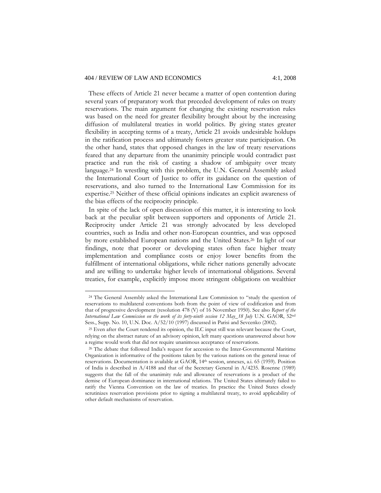$\overline{a}$ 

These effects of Article 21 never became a matter of open contention during several years of preparatory work that preceded development of rules on treaty reservations. The main argument for changing the existing reservation rules was based on the need for greater flexibility brought about by the increasing diffusion of multilateral treaties in world politics. By giving states greater flexibility in accepting terms of a treaty, Article 21 avoids undesirable holdups in the ratification process and ultimately fosters greater state participation. On the other hand, states that opposed changes in the law of treaty reservations feared that any departure from the unanimity principle would contradict past practice and run the risk of casting a shadow of ambiguity over treaty language.<sup>24</sup> In wrestling with this problem, the U.N. General Assembly asked the International Court of Justice to offer its guidance on the question of reservations, and also turned to the International Law Commission for its expertise.25 Neither of these official opinions indicates an explicit awareness of the bias effects of the reciprocity principle.

In spite of the lack of open discussion of this matter, it is interesting to look back at the peculiar split between supporters and opponents of Article 21. Reciprocity under Article 21 was strongly advocated by less developed countries, such as India and other non-European countries, and was opposed by more established European nations and the United States.26 In light of our findings, note that poorer or developing states often face higher treaty implementation and compliance costs or enjoy lower benefits from the fulfillment of international obligations, while richer nations generally advocate and are willing to undertake higher levels of international obligations. Several treaties, for example, explicitly impose more stringent obligations on wealthier

<sup>24</sup> The General Assembly asked the International Law Commission to "study the question of reservations to multilateral conventions both from the point of view of codification and from that of progressive development (resolution 478 (V) of 16 November 1950). See also Report of the International Law Commission on the work of its forty-ninth session 12 May\_18 July U.N. GAOR, 52<sup>nd</sup> Sess., Supp. No. 10, U.N. Doc. A/52/10 (1997) discussed in Parisi and Sevcenko (2002).

<sup>25</sup> Even after the Court rendered its opinion, the ILC input still was relevant because the Court, relying on the abstract nature of an advisory opinion, left many questions unanswered about how a regime would work that did not require unanimous acceptance of reservations.

<sup>&</sup>lt;sup>26</sup> The debate that followed India's request for accession to the Inter-Governmental Maritime Organization is informative of the positions taken by the various nations on the general issue of reservations. Documentation is available at GAOR, 14th session, annexes, a.i. 65 (1959). Position of India is described in A/4188 and that of the Secretary General in A/4235. Rosenne (1989) suggests that the fall of the unanimity rule and allowance of reservations is a product of the demise of European dominance in international relations. The United States ultimately failed to ratify the Vienna Convention on the law of treaties. In practice the United States closely scrutinizes reservation provisions prior to signing a multilateral treaty, to avoid applicability of other default mechanisms of reservation.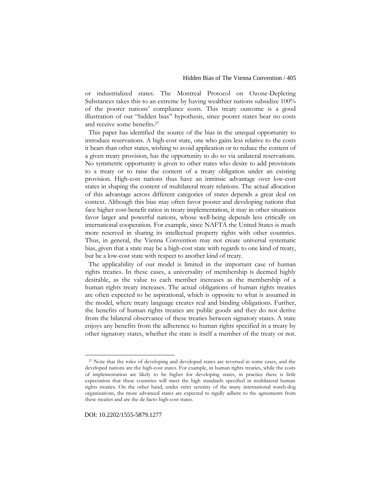or industrialized states. The Montreal Protocol on Ozone-Depleting Substances takes this to an extreme by having wealthier nations subsidize 100% of the poorer nations' compliance costs. This treaty outcome is a good illustration of our "hidden bias" hypothesis, since poorer states bear no costs and receive some benefits.27

This paper has identified the source of the bias in the unequal opportunity to introduce reservations. A high-cost state, one who gains less relative to the costs it bears than other states, wishing to avoid application or to reduce the content of a given treaty provision, has the opportunity to do so via unilateral reservations. No symmetric opportunity is given to other states who desire to add provisions to a treaty or to raise the content of a treaty obligation under an existing provision. High-cost nations thus have an intrinsic advantage over low-cost states in shaping the content of multilateral treaty relations. The actual allocation of this advantage across different categories of states depends a great deal on context. Although this bias may often favor poorer and developing nations that face higher cost-benefit ratios in treaty implementation, it may in other situations favor larger and powerful nations, whose well-being depends less critically on international cooperation. For example, since NAFTA the United States is much more reserved in sharing its intellectual property rights with other countries. Thus, in general, the Vienna Convention may not create universal systematic bias, given that a state may be a high-cost state with regards to one kind of treaty, but be a low-cost state with respect to another kind of treaty.

The applicability of our model is limited in the important case of human rights treaties. In these cases, a universality of membership is deemed highly desirable, as the value to each member increases as the membership of a human rights treaty increases. The actual obligations of human rights treaties are often expected to be aspirational, which is opposite to what is assumed in the model, where treaty language creates real and binding obligations. Further, the benefits of human rights treaties are public goods and they do not derive from the bilateral observance of these treaties between signatory states. A state enjoys any benefits from the adherence to human rights specified in a treaty by other signatory states, whether the state is itself a member of the treaty or not.

DOI: 10.2202/1555-5879.1277

<sup>&</sup>lt;sup>27</sup> Note that the roles of developing and developed states are reversed in some cases, and the developed nations are the high-cost states. For example, in human rights treaties, while the costs of implementation are likely to be higher for developing states, in practice there is little expectation that these countries will meet the high standards specified in multilateral human rights treaties. On the other hand, under strict scrutiny of the many international watch-dog organizations, the more advanced states are expected to rigidly adhere to the agreements from these treaties and are the de facto high-cost states.